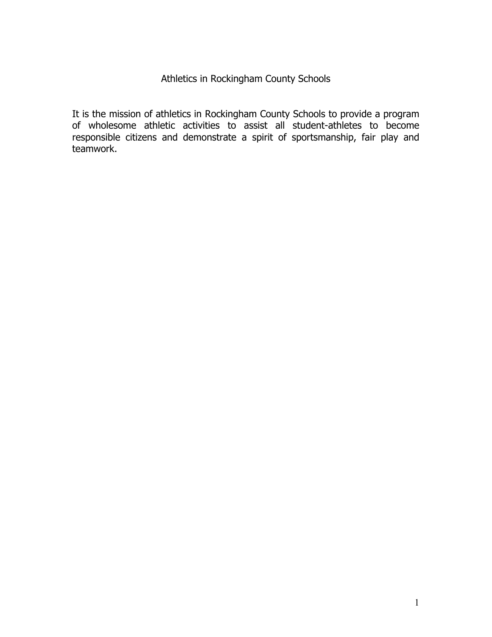#### Athletics in Rockingham County Schools

It is the mission of athletics in Rockingham County Schools to provide a program of wholesome athletic activities to assist all student-athletes to become responsible citizens and demonstrate a spirit of sportsmanship, fair play and teamwork.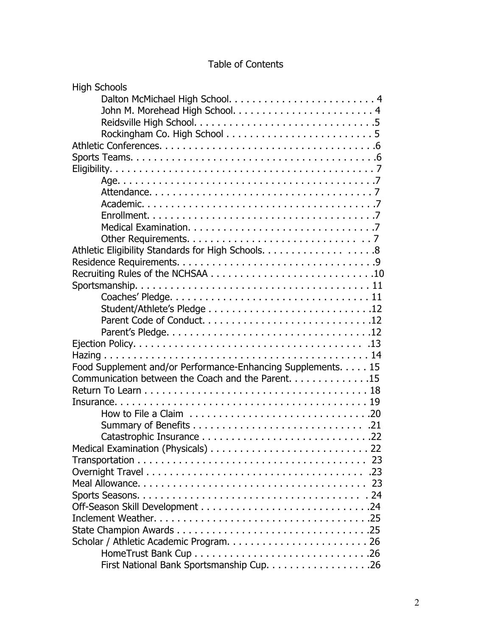# Table of Contents

| <b>High Schools</b>                                          |
|--------------------------------------------------------------|
|                                                              |
|                                                              |
|                                                              |
|                                                              |
|                                                              |
|                                                              |
|                                                              |
|                                                              |
|                                                              |
|                                                              |
|                                                              |
|                                                              |
|                                                              |
| Athletic Eligibility Standards for High Schools. 8           |
|                                                              |
|                                                              |
|                                                              |
|                                                              |
|                                                              |
|                                                              |
|                                                              |
|                                                              |
|                                                              |
| Food Supplement and/or Performance-Enhancing Supplements. 15 |
| Communication between the Coach and the Parent. 15           |
|                                                              |
|                                                              |
|                                                              |
|                                                              |
|                                                              |
|                                                              |
|                                                              |
|                                                              |
|                                                              |
|                                                              |
|                                                              |
|                                                              |
|                                                              |
|                                                              |
|                                                              |
|                                                              |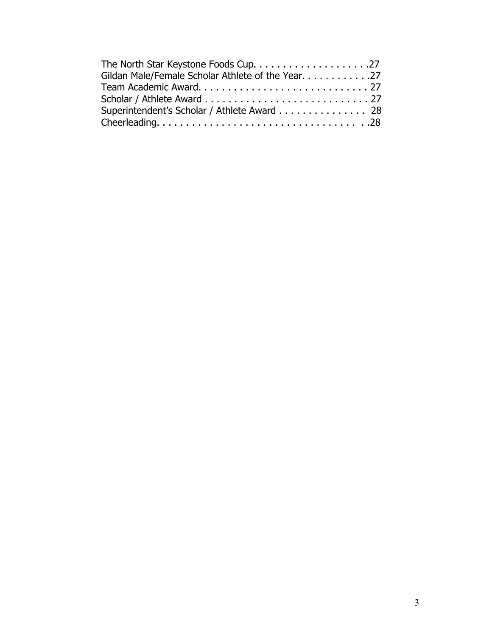| Gildan Male/Female Scholar Athlete of the Year. 27 |  |
|----------------------------------------------------|--|
|                                                    |  |
|                                                    |  |
| Superintendent's Scholar / Athlete Award 28        |  |
|                                                    |  |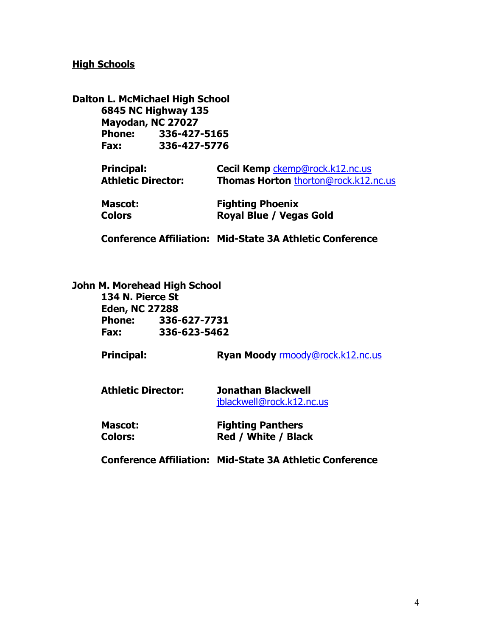#### **High Schools**

|                           | Dalton L. McMichael High School |                                      |
|---------------------------|---------------------------------|--------------------------------------|
|                           | <b>6845 NC Highway 135</b>      |                                      |
| Mayodan, NC 27027         |                                 |                                      |
|                           | Phone: 336-427-5165             |                                      |
| Fax:                      | 336-427-5776                    |                                      |
| <b>Principal:</b>         |                                 | Cecil Kemp ckemp@rock.k12.nc.us      |
| <b>Athletic Director:</b> |                                 | Thomas Horton thorton@rock.k12.nc.us |
| <b>Mascot:</b>            |                                 | <b>Fighting Phoenix</b>              |
| <b>Colors</b>             |                                 | <b>Royal Blue / Vegas Gold</b>       |

**Conference Affiliation: Mid-State 3A Athletic Conference**

#### **John M. Morehead High School**

**134 N. Pierce St Eden, NC 27288 Phone: 336-627-7731 Fax: 336-623-5462**

Principal: **Ryan Moody [rmoody@rock.k12.nc.us](mailto:rmoody@rock.k12.nc.us)** 

| <b>Athletic Director:</b> | Jonathan Blackwell        |  |
|---------------------------|---------------------------|--|
|                           | jblackwell@rock.k12.nc.us |  |

| <b>Mascot:</b> | <b>Fighting Panthers</b>   |
|----------------|----------------------------|
| <b>Colors:</b> | <b>Red / White / Black</b> |

**Conference Affiliation: Mid-State 3A Athletic Conference**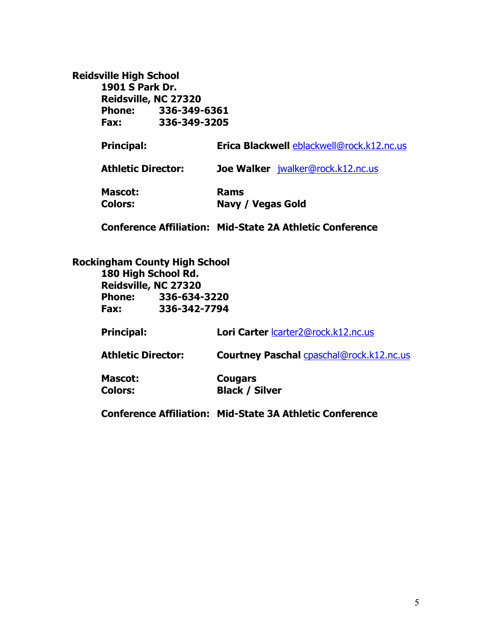#### **Reidsville High School**

**1901 S Park Dr. Reidsville, NC 27320 Phone: 336-349-6361 Fax: 336-349-3205**

**Principal: Erica Blackwell [eblackwell@rock.k12.nc.us](mailto:eblackwell@rock.k12.nc.us) Athletic Director: Joe Walker** [jwalker@rock.k12.nc.us](mailto:jwalker@rock.k12.nc.us)

**Mascot: Rams Colors: Navy / Vegas Gold**

**Conference Affiliation: Mid-State 2A Athletic Conference**

**Rockingham County High School**

**180 High School Rd. Reidsville, NC 27320 Phone: 336-634-3220 Fax: 336-342-7794**

**Principal: Lori Carter** [lcarter2@rock.k12.nc.us](mailto:lcarter2@rock.k12.nc.us)

**Athletic Director: Courtney Paschal** [cpaschal@rock.k12.nc.us](mailto:cpaschal@rock.k12.nc.us)

| <b>Mascot:</b> | <b>Cougars</b>        |
|----------------|-----------------------|
| <b>Colors:</b> | <b>Black / Silver</b> |

**Conference Affiliation: Mid-State 3A Athletic Conference**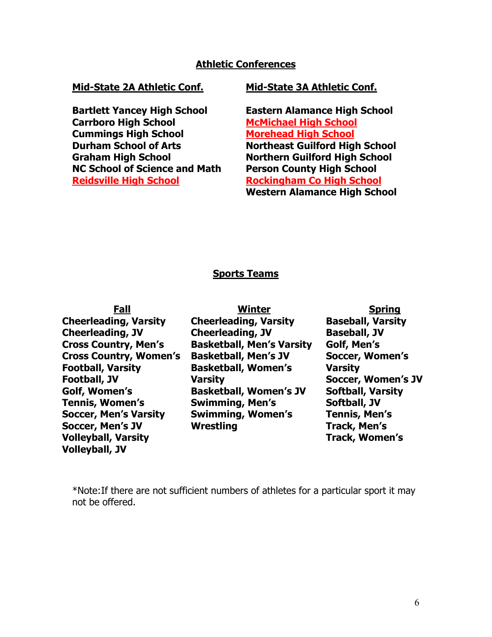#### **Athletic Conferences**

**Bartlett Yancey High School Eastern Alamance High School Carrboro High School McMichael High School Cummings High School**<br> **Cummings High School of Arts**<br> **Mortheast Guilford High School of Arts NC School of Science and Math Person County High School Reidsville High School Rockingham Co High School**

#### **Mid-State 2A Athletic Conf. Mid-State 3A Athletic Conf.**

**Durham School of Arts Northeast Guilford High School Graham High School Northern Guilford High School Western Alamance High School**

#### **Sports Teams**

| Fall                          | <b>Winter</b>                    | <b>Spring</b>            |
|-------------------------------|----------------------------------|--------------------------|
| <b>Cheerleading, Varsity</b>  | <b>Cheerleading, Varsity</b>     | <b>Baseball, Varsity</b> |
| <b>Cheerleading, JV</b>       | <b>Cheerleading, JV</b>          | <b>Baseball, JV</b>      |
| <b>Cross Country, Men's</b>   | <b>Basketball, Men's Varsity</b> | Golf, Men's              |
| <b>Cross Country, Women's</b> | <b>Basketball, Men's JV</b>      | <b>Soccer, Women's</b>   |
| <b>Football, Varsity</b>      | <b>Basketball, Women's</b>       | <b>Varsity</b>           |
| <b>Football, JV</b>           | <b>Varsity</b>                   | Soccer, Women's JV       |
| Golf, Women's                 | <b>Basketball, Women's JV</b>    | <b>Softball, Varsity</b> |
| <b>Tennis, Women's</b>        | <b>Swimming, Men's</b>           | Softball, JV             |
| <b>Soccer, Men's Varsity</b>  | <b>Swimming, Women's</b>         | <b>Tennis, Men's</b>     |
| <b>Soccer, Men's JV</b>       | <b>Wrestling</b>                 | <b>Track, Men's</b>      |
| <b>Volleyball, Varsity</b>    |                                  | <b>Track, Women's</b>    |
| <b>Volleyball, JV</b>         |                                  |                          |

\*Note:If there are not sufficient numbers of athletes for a particular sport it may not be offered.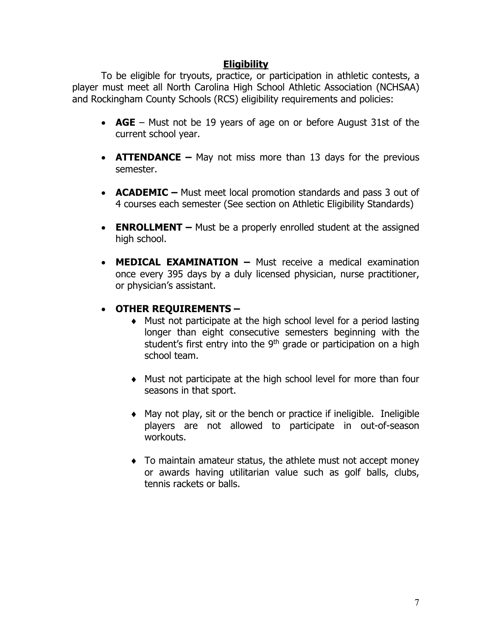#### **Eligibility**

To be eligible for tryouts, practice, or participation in athletic contests, a player must meet all North Carolina High School Athletic Association (NCHSAA) and Rockingham County Schools (RCS) eligibility requirements and policies:

- **AGE**  Must not be 19 years of age on or before August 31st of the current school year.
- **ATTENDANCE** May not miss more than 13 days for the previous semester.
- **ACADEMIC** Must meet local promotion standards and pass 3 out of 4 courses each semester (See section on Athletic Eligibility Standards)
- **ENROLLMENT** Must be a properly enrolled student at the assigned high school.
- **MEDICAL EXAMINATION –** Must receive a medical examination once every 395 days by a duly licensed physician, nurse practitioner, or physician's assistant.
- **OTHER REQUIREMENTS –**
	- ♦ Must not participate at the high school level for a period lasting longer than eight consecutive semesters beginning with the student's first entry into the  $9<sup>th</sup>$  grade or participation on a high school team.
	- ♦ Must not participate at the high school level for more than four seasons in that sport.
	- ♦ May not play, sit or the bench or practice if ineligible. Ineligible players are not allowed to participate in out-of-season workouts.
	- ♦ To maintain amateur status, the athlete must not accept money or awards having utilitarian value such as golf balls, clubs, tennis rackets or balls.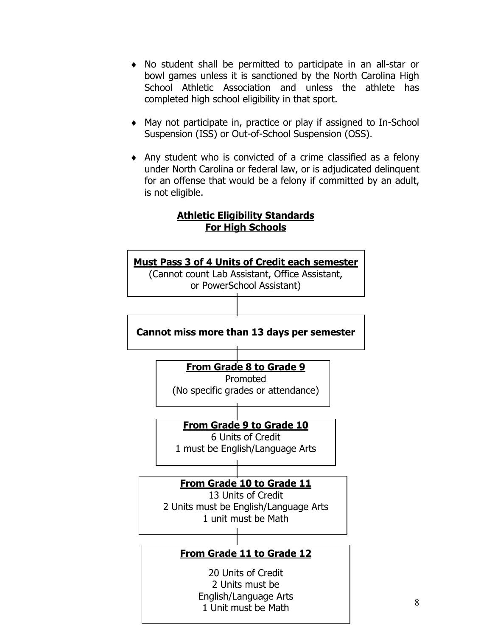- ♦ No student shall be permitted to participate in an all-star or bowl games unless it is sanctioned by the North Carolina High School Athletic Association and unless the athlete has completed high school eligibility in that sport.
- ♦ May not participate in, practice or play if assigned to In-School Suspension (ISS) or Out-of-School Suspension (OSS).
- ♦ Any student who is convicted of a crime classified as a felony under North Carolina or federal law, or is adjudicated delinquent for an offense that would be a felony if committed by an adult, is not eligible.

#### **Athletic Eligibility Standards For High Schools**

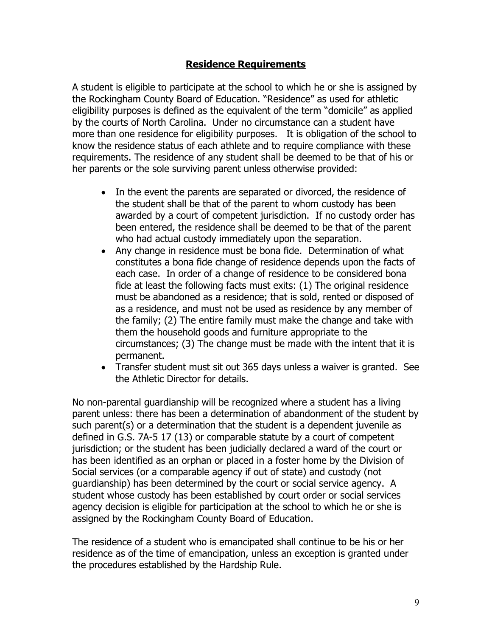#### **Residence Requirements**

A student is eligible to participate at the school to which he or she is assigned by the Rockingham County Board of Education. "Residence" as used for athletic eligibility purposes is defined as the equivalent of the term "domicile" as applied by the courts of North Carolina. Under no circumstance can a student have more than one residence for eligibility purposes. It is obligation of the school to know the residence status of each athlete and to require compliance with these requirements. The residence of any student shall be deemed to be that of his or her parents or the sole surviving parent unless otherwise provided:

- In the event the parents are separated or divorced, the residence of the student shall be that of the parent to whom custody has been awarded by a court of competent jurisdiction. If no custody order has been entered, the residence shall be deemed to be that of the parent who had actual custody immediately upon the separation.
- Any change in residence must be bona fide. Determination of what constitutes a bona fide change of residence depends upon the facts of each case. In order of a change of residence to be considered bona fide at least the following facts must exits: (1) The original residence must be abandoned as a residence; that is sold, rented or disposed of as a residence, and must not be used as residence by any member of the family; (2) The entire family must make the change and take with them the household goods and furniture appropriate to the circumstances; (3) The change must be made with the intent that it is permanent.
- Transfer student must sit out 365 days unless a waiver is granted. See the Athletic Director for details.

No non-parental guardianship will be recognized where a student has a living parent unless: there has been a determination of abandonment of the student by such parent(s) or a determination that the student is a dependent juvenile as defined in G.S. 7A-5 17 (13) or comparable statute by a court of competent jurisdiction; or the student has been judicially declared a ward of the court or has been identified as an orphan or placed in a foster home by the Division of Social services (or a comparable agency if out of state) and custody (not guardianship) has been determined by the court or social service agency. A student whose custody has been established by court order or social services agency decision is eligible for participation at the school to which he or she is assigned by the Rockingham County Board of Education.

The residence of a student who is emancipated shall continue to be his or her residence as of the time of emancipation, unless an exception is granted under the procedures established by the Hardship Rule.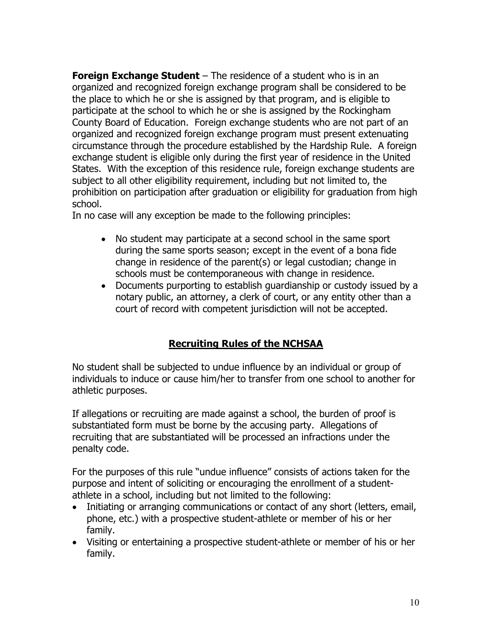**Foreign Exchange Student** – The residence of a student who is in an organized and recognized foreign exchange program shall be considered to be the place to which he or she is assigned by that program, and is eligible to participate at the school to which he or she is assigned by the Rockingham County Board of Education. Foreign exchange students who are not part of an organized and recognized foreign exchange program must present extenuating circumstance through the procedure established by the Hardship Rule. A foreign exchange student is eligible only during the first year of residence in the United States. With the exception of this residence rule, foreign exchange students are subject to all other eligibility requirement, including but not limited to, the prohibition on participation after graduation or eligibility for graduation from high school.

In no case will any exception be made to the following principles:

- No student may participate at a second school in the same sport during the same sports season; except in the event of a bona fide change in residence of the parent(s) or legal custodian; change in schools must be contemporaneous with change in residence.
- Documents purporting to establish guardianship or custody issued by a notary public, an attorney, a clerk of court, or any entity other than a court of record with competent jurisdiction will not be accepted.

# **Recruiting Rules of the NCHSAA**

No student shall be subjected to undue influence by an individual or group of individuals to induce or cause him/her to transfer from one school to another for athletic purposes.

If allegations or recruiting are made against a school, the burden of proof is substantiated form must be borne by the accusing party. Allegations of recruiting that are substantiated will be processed an infractions under the penalty code.

For the purposes of this rule "undue influence" consists of actions taken for the purpose and intent of soliciting or encouraging the enrollment of a studentathlete in a school, including but not limited to the following:

- Initiating or arranging communications or contact of any short (letters, email, phone, etc.) with a prospective student-athlete or member of his or her family.
- Visiting or entertaining a prospective student-athlete or member of his or her family.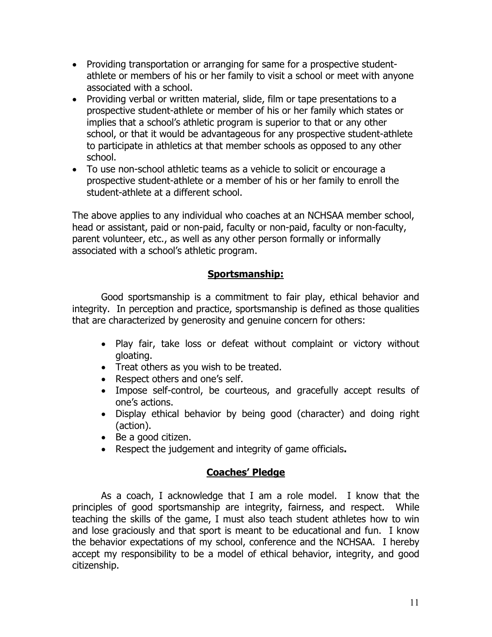- Providing transportation or arranging for same for a prospective studentathlete or members of his or her family to visit a school or meet with anyone associated with a school.
- Providing verbal or written material, slide, film or tape presentations to a prospective student-athlete or member of his or her family which states or implies that a school's athletic program is superior to that or any other school, or that it would be advantageous for any prospective student-athlete to participate in athletics at that member schools as opposed to any other school.
- To use non-school athletic teams as a vehicle to solicit or encourage a prospective student-athlete or a member of his or her family to enroll the student-athlete at a different school.

The above applies to any individual who coaches at an NCHSAA member school, head or assistant, paid or non-paid, faculty or non-paid, faculty or non-faculty, parent volunteer, etc., as well as any other person formally or informally associated with a school's athletic program.

### **Sportsmanship:**

Good sportsmanship is a commitment to fair play, ethical behavior and integrity. In perception and practice, sportsmanship is defined as those qualities that are characterized by generosity and genuine concern for others:

- Play fair, take loss or defeat without complaint or victory without gloating.
- Treat others as you wish to be treated.
- Respect others and one's self.
- Impose self-control, be courteous, and gracefully accept results of one's actions.
- Display ethical behavior by being good (character) and doing right (action).
- Be a good citizen.
- Respect the judgement and integrity of game officials**.**

### **Coaches' Pledge**

As a coach, I acknowledge that I am a role model. I know that the principles of good sportsmanship are integrity, fairness, and respect. While teaching the skills of the game, I must also teach student athletes how to win and lose graciously and that sport is meant to be educational and fun. I know the behavior expectations of my school, conference and the NCHSAA. I hereby accept my responsibility to be a model of ethical behavior, integrity, and good citizenship.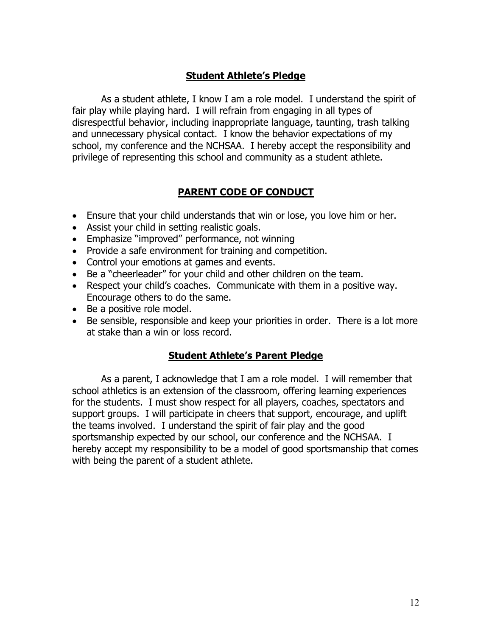### **Student Athlete's Pledge**

As a student athlete, I know I am a role model. I understand the spirit of fair play while playing hard. I will refrain from engaging in all types of disrespectful behavior, including inappropriate language, taunting, trash talking and unnecessary physical contact. I know the behavior expectations of my school, my conference and the NCHSAA. I hereby accept the responsibility and privilege of representing this school and community as a student athlete.

#### **PARENT CODE OF CONDUCT**

- Ensure that your child understands that win or lose, you love him or her.
- Assist your child in setting realistic goals.
- Emphasize "improved" performance, not winning
- Provide a safe environment for training and competition.
- Control your emotions at games and events.
- Be a "cheerleader" for your child and other children on the team.
- Respect your child's coaches. Communicate with them in a positive way. Encourage others to do the same.
- Be a positive role model.
- Be sensible, responsible and keep your priorities in order. There is a lot more at stake than a win or loss record.

#### **Student Athlete's Parent Pledge**

As a parent, I acknowledge that I am a role model. I will remember that school athletics is an extension of the classroom, offering learning experiences for the students. I must show respect for all players, coaches, spectators and support groups. I will participate in cheers that support, encourage, and uplift the teams involved. I understand the spirit of fair play and the good sportsmanship expected by our school, our conference and the NCHSAA. I hereby accept my responsibility to be a model of good sportsmanship that comes with being the parent of a student athlete.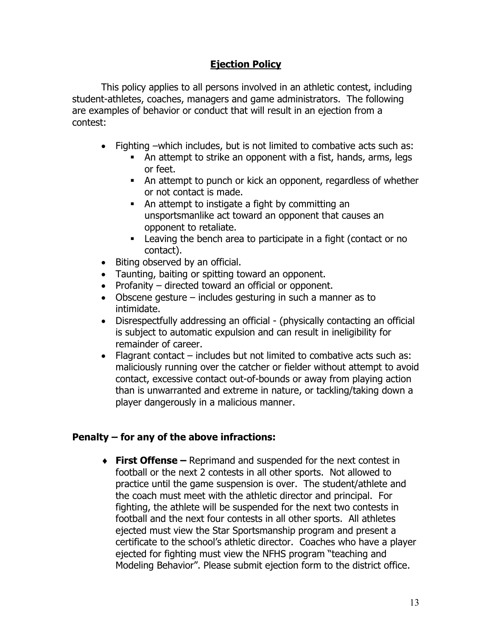### **Ejection Policy**

This policy applies to all persons involved in an athletic contest, including student-athletes, coaches, managers and game administrators. The following are examples of behavior or conduct that will result in an ejection from a contest:

- Fighting –which includes, but is not limited to combative acts such as:
	- An attempt to strike an opponent with a fist, hands, arms, legs or feet.
	- An attempt to punch or kick an opponent, regardless of whether or not contact is made.
	- An attempt to instigate a fight by committing an unsportsmanlike act toward an opponent that causes an opponent to retaliate.
	- Leaving the bench area to participate in a fight (contact or no contact).
- Biting observed by an official.
- Taunting, baiting or spitting toward an opponent.
- Profanity directed toward an official or opponent.
- Obscene gesture includes gesturing in such a manner as to intimidate.
- Disrespectfully addressing an official (physically contacting an official is subject to automatic expulsion and can result in ineligibility for remainder of career.
- Flagrant contact includes but not limited to combative acts such as: maliciously running over the catcher or fielder without attempt to avoid contact, excessive contact out-of-bounds or away from playing action than is unwarranted and extreme in nature, or tackling/taking down a player dangerously in a malicious manner.

### **Penalty – for any of the above infractions:**

♦ **First Offense –** Reprimand and suspended for the next contest in football or the next 2 contests in all other sports. Not allowed to practice until the game suspension is over. The student/athlete and the coach must meet with the athletic director and principal. For fighting, the athlete will be suspended for the next two contests in football and the next four contests in all other sports. All athletes ejected must view the Star Sportsmanship program and present a certificate to the school's athletic director. Coaches who have a player ejected for fighting must view the NFHS program "teaching and Modeling Behavior". Please submit ejection form to the district office.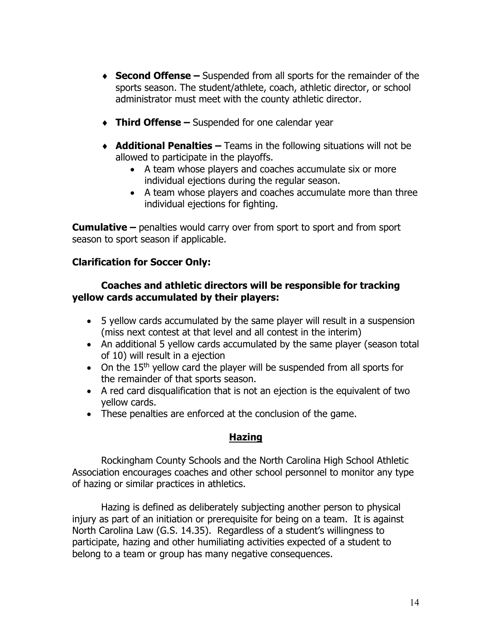- ♦ **Second Offense –** Suspended from all sports for the remainder of the sports season. The student/athlete, coach, athletic director, or school administrator must meet with the county athletic director.
- ♦ **Third Offense –** Suspended for one calendar year
- ♦ **Additional Penalties –** Teams in the following situations will not be allowed to participate in the playoffs.
	- A team whose players and coaches accumulate six or more individual ejections during the regular season.
	- A team whose players and coaches accumulate more than three individual ejections for fighting.

**Cumulative –** penalties would carry over from sport to sport and from sport season to sport season if applicable.

#### **Clarification for Soccer Only:**

#### **Coaches and athletic directors will be responsible for tracking yellow cards accumulated by their players:**

- 5 yellow cards accumulated by the same player will result in a suspension (miss next contest at that level and all contest in the interim)
- An additional 5 yellow cards accumulated by the same player (season total of 10) will result in a ejection
- On the 15<sup>th</sup> yellow card the player will be suspended from all sports for the remainder of that sports season.
- A red card disqualification that is not an ejection is the equivalent of two yellow cards.
- These penalties are enforced at the conclusion of the game.

#### **Hazing**

Rockingham County Schools and the North Carolina High School Athletic Association encourages coaches and other school personnel to monitor any type of hazing or similar practices in athletics.

Hazing is defined as deliberately subjecting another person to physical injury as part of an initiation or prerequisite for being on a team. It is against North Carolina Law (G.S. 14.35). Regardless of a student's willingness to participate, hazing and other humiliating activities expected of a student to belong to a team or group has many negative consequences.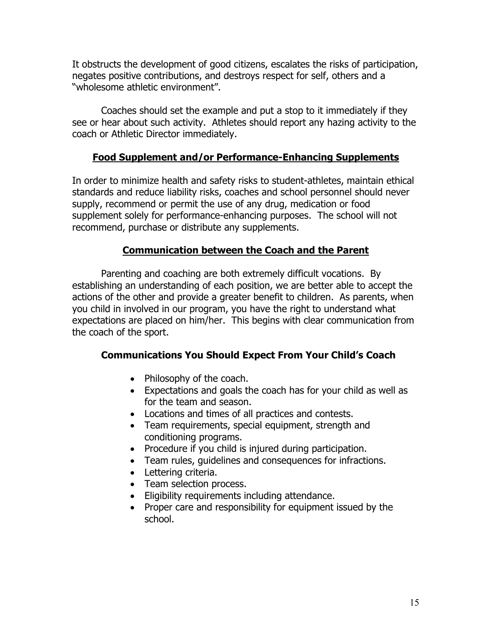It obstructs the development of good citizens, escalates the risks of participation, negates positive contributions, and destroys respect for self, others and a "wholesome athletic environment".

Coaches should set the example and put a stop to it immediately if they see or hear about such activity. Athletes should report any hazing activity to the coach or Athletic Director immediately.

#### **Food Supplement and/or Performance-Enhancing Supplements**

In order to minimize health and safety risks to student-athletes, maintain ethical standards and reduce liability risks, coaches and school personnel should never supply, recommend or permit the use of any drug, medication or food supplement solely for performance-enhancing purposes. The school will not recommend, purchase or distribute any supplements.

### **Communication between the Coach and the Parent**

Parenting and coaching are both extremely difficult vocations. By establishing an understanding of each position, we are better able to accept the actions of the other and provide a greater benefit to children. As parents, when you child in involved in our program, you have the right to understand what expectations are placed on him/her. This begins with clear communication from the coach of the sport.

### **Communications You Should Expect From Your Child's Coach**

- Philosophy of the coach.
- Expectations and goals the coach has for your child as well as for the team and season.
- Locations and times of all practices and contests.
- Team requirements, special equipment, strength and conditioning programs.
- Procedure if you child is injured during participation.
- Team rules, guidelines and consequences for infractions.
- Lettering criteria.
- Team selection process.
- Eligibility requirements including attendance.
- Proper care and responsibility for equipment issued by the school.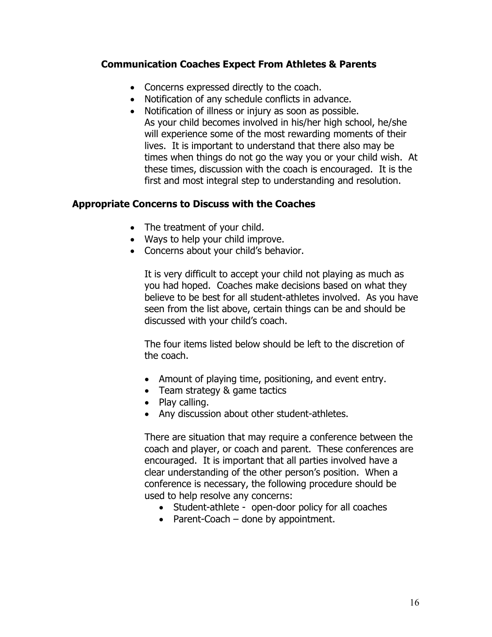#### **Communication Coaches Expect From Athletes & Parents**

- Concerns expressed directly to the coach.
- Notification of any schedule conflicts in advance.
- Notification of illness or injury as soon as possible. As your child becomes involved in his/her high school, he/she will experience some of the most rewarding moments of their lives. It is important to understand that there also may be times when things do not go the way you or your child wish. At these times, discussion with the coach is encouraged. It is the first and most integral step to understanding and resolution.

#### **Appropriate Concerns to Discuss with the Coaches**

- The treatment of your child.
- Ways to help your child improve.
- Concerns about your child's behavior.

It is very difficult to accept your child not playing as much as you had hoped. Coaches make decisions based on what they believe to be best for all student-athletes involved. As you have seen from the list above, certain things can be and should be discussed with your child's coach.

The four items listed below should be left to the discretion of the coach.

- Amount of playing time, positioning, and event entry.
- Team strategy & game tactics
- Play calling.
- Any discussion about other student-athletes.

There are situation that may require a conference between the coach and player, or coach and parent. These conferences are encouraged. It is important that all parties involved have a clear understanding of the other person's position. When a conference is necessary, the following procedure should be used to help resolve any concerns:

- Student-athlete open-door policy for all coaches
- Parent-Coach done by appointment.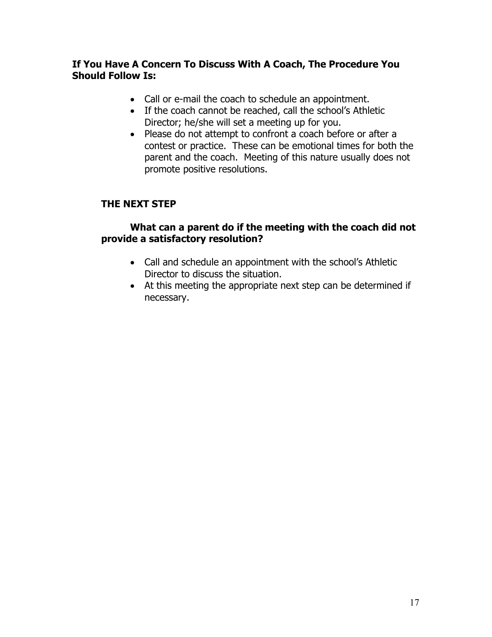#### **If You Have A Concern To Discuss With A Coach, The Procedure You Should Follow Is:**

- Call or e-mail the coach to schedule an appointment.
- If the coach cannot be reached, call the school's Athletic Director; he/she will set a meeting up for you.
- Please do not attempt to confront a coach before or after a contest or practice. These can be emotional times for both the parent and the coach. Meeting of this nature usually does not promote positive resolutions.

### **THE NEXT STEP**

#### **What can a parent do if the meeting with the coach did not provide a satisfactory resolution?**

- Call and schedule an appointment with the school's Athletic Director to discuss the situation.
- At this meeting the appropriate next step can be determined if necessary.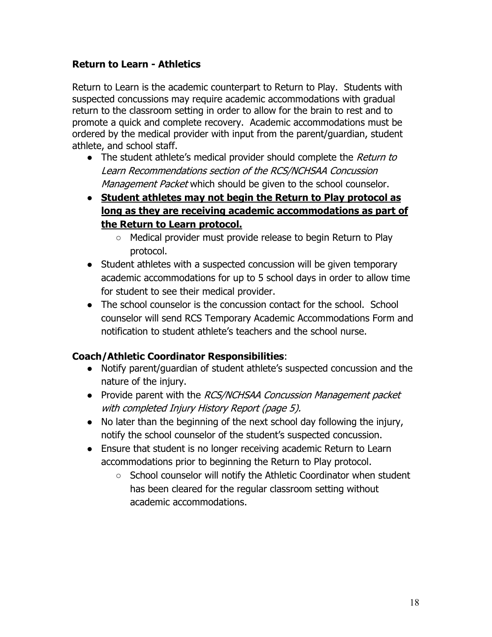### **Return to Learn - Athletics**

Return to Learn is the academic counterpart to Return to Play. Students with suspected concussions may require academic accommodations with gradual return to the classroom setting in order to allow for the brain to rest and to promote a quick and complete recovery. Academic accommodations must be ordered by the medical provider with input from the parent/guardian, student athlete, and school staff.

- The student athlete's medical provider should complete the Return to Learn Recommendations section of the RCS/NCHSAA Concussion Management Packet which should be given to the school counselor.
- **Student athletes may not begin the Return to Play protocol as long as they are receiving academic accommodations as part of the Return to Learn protocol.**
	- Medical provider must provide release to begin Return to Play protocol.
- Student athletes with a suspected concussion will be given temporary academic accommodations for up to 5 school days in order to allow time for student to see their medical provider.
- The school counselor is the concussion contact for the school. School counselor will send RCS Temporary Academic Accommodations Form and notification to student athlete's teachers and the school nurse.

### **Coach/Athletic Coordinator Responsibilities**:

- Notify parent/guardian of student athlete's suspected concussion and the nature of the injury.
- Provide parent with the RCS/NCHSAA Concussion Management packet with completed Injury History Report (page 5).
- No later than the beginning of the next school day following the injury, notify the school counselor of the student's suspected concussion.
- Ensure that student is no longer receiving academic Return to Learn accommodations prior to beginning the Return to Play protocol.
	- School counselor will notify the Athletic Coordinator when student has been cleared for the regular classroom setting without academic accommodations.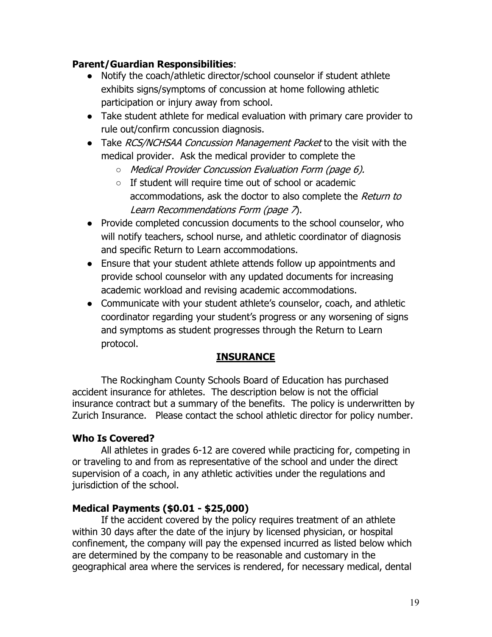### **Parent/Guardian Responsibilities**:

- Notify the coach/athletic director/school counselor if student athlete exhibits signs/symptoms of concussion at home following athletic participation or injury away from school.
- Take student athlete for medical evaluation with primary care provider to rule out/confirm concussion diagnosis.
- Take RCS/NCHSAA Concussion Management Packet to the visit with the medical provider. Ask the medical provider to complete the
	- Medical Provider Concussion Evaluation Form (page 6).
	- If student will require time out of school or academic accommodations, ask the doctor to also complete the Return to Learn Recommendations Form (page 7).
- Provide completed concussion documents to the school counselor, who will notify teachers, school nurse, and athletic coordinator of diagnosis and specific Return to Learn accommodations.
- Ensure that your student athlete attends follow up appointments and provide school counselor with any updated documents for increasing academic workload and revising academic accommodations.
- Communicate with your student athlete's counselor, coach, and athletic coordinator regarding your student's progress or any worsening of signs and symptoms as student progresses through the Return to Learn protocol.

### **INSURANCE**

The Rockingham County Schools Board of Education has purchased accident insurance for athletes. The description below is not the official insurance contract but a summary of the benefits. The policy is underwritten by Zurich Insurance. Please contact the school athletic director for policy number.

### **Who Is Covered?**

All athletes in grades 6-12 are covered while practicing for, competing in or traveling to and from as representative of the school and under the direct supervision of a coach, in any athletic activities under the regulations and jurisdiction of the school.

#### **Medical Payments (\$0.01 - \$25,000)**

If the accident covered by the policy requires treatment of an athlete within 30 days after the date of the injury by licensed physician, or hospital confinement, the company will pay the expensed incurred as listed below which are determined by the company to be reasonable and customary in the geographical area where the services is rendered, for necessary medical, dental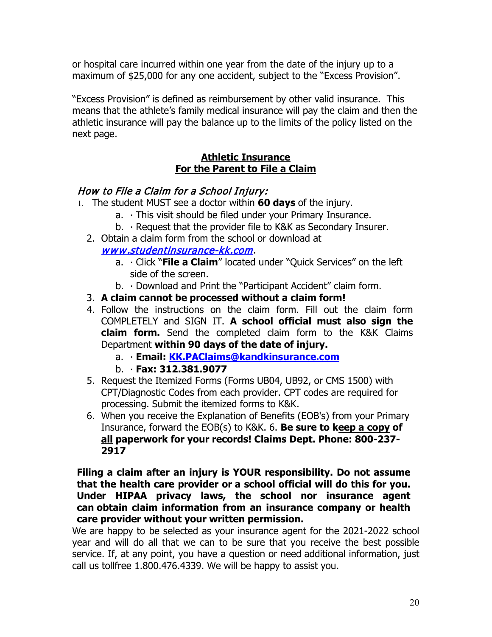or hospital care incurred within one year from the date of the injury up to a maximum of \$25,000 for any one accident, subject to the "Excess Provision".

"Excess Provision" is defined as reimbursement by other valid insurance. This means that the athlete's family medical insurance will pay the claim and then the athletic insurance will pay the balance up to the limits of the policy listed on the next page.

#### **Athletic Insurance For the Parent to File a Claim**

### How to File a Claim for a School Injury:

- 1. The student MUST see a doctor within **60 days** of the injury.
	- a. ∙ This visit should be filed under your Primary Insurance.
	- b. ∙ Request that the provider file to K&K as Secondary Insurer.
	- 2. Obtain a claim form from the school or download at

### www.studentinsurance-kk.com.

- a. ∙ Click "**File a Claim**" located under "Quick Services" on the left side of the screen.
- b. ∙ Download and Print the "Participant Accident" claim form.
- 3. **A claim cannot be processed without a claim form!**
- 4. Follow the instructions on the claim form. Fill out the claim form COMPLETELY and SIGN IT. **A school official must also sign the claim form.** Send the completed claim form to the K&K Claims Department **within 90 days of the date of injury.**
	- a. ∙ **Email: KK.PAClaims@kandkinsurance.com**
	- b. ∙ **Fax: 312.381.9077**
- 5. Request the Itemized Forms (Forms UB04, UB92, or CMS 1500) with CPT/Diagnostic Codes from each provider. CPT codes are required for processing. Submit the itemized forms to K&K.
- 6. When you receive the Explanation of Benefits (EOB's) from your Primary Insurance, forward the EOB(s) to K&K. 6. **Be sure to keep a copy of all paperwork for your records! Claims Dept. Phone: 800-237- 2917**

**Filing a claim after an injury is YOUR responsibility. Do not assume that the health care provider or a school official will do this for you. Under HIPAA privacy laws, the school nor insurance agent can obtain claim information from an insurance company or health care provider without your written permission.** 

We are happy to be selected as your insurance agent for the 2021-2022 school year and will do all that we can to be sure that you receive the best possible service. If, at any point, you have a question or need additional information, just call us tollfree 1.800.476.4339. We will be happy to assist you.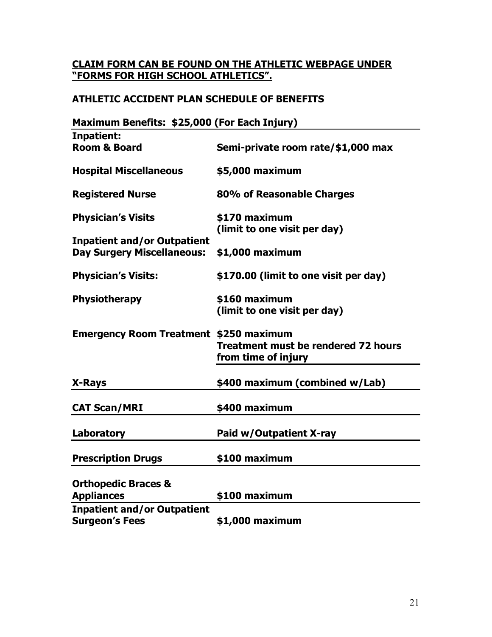#### **CLAIM FORM CAN BE FOUND ON THE ATHLETIC WEBPAGE UNDER "FORMS FOR HIGH SCHOOL ATHLETICS".**

### **ATHLETIC ACCIDENT PLAN SCHEDULE OF BENEFITS**

| Maximum Benefits: \$25,000 (For Each Injury)  |                                            |
|-----------------------------------------------|--------------------------------------------|
| Inpatient:                                    |                                            |
| <b>Room &amp; Board</b>                       | Semi-private room rate/\$1,000 max         |
|                                               |                                            |
| <b>Hospital Miscellaneous</b>                 | \$5,000 maximum                            |
|                                               |                                            |
| <b>Registered Nurse</b>                       | 80% of Reasonable Charges                  |
|                                               |                                            |
| <b>Physician's Visits</b>                     | \$170 maximum                              |
|                                               | (limit to one visit per day)               |
| <b>Inpatient and/or Outpatient</b>            |                                            |
| <b>Day Surgery Miscellaneous:</b>             | \$1,000 maximum                            |
|                                               |                                            |
| <b>Physician's Visits:</b>                    | \$170.00 (limit to one visit per day)      |
|                                               |                                            |
| <b>Physiotherapy</b>                          | \$160 maximum                              |
|                                               | (limit to one visit per day)               |
|                                               |                                            |
| <b>Emergency Room Treatment \$250 maximum</b> | <b>Treatment must be rendered 72 hours</b> |
|                                               |                                            |
|                                               | from time of injury                        |
|                                               | \$400 maximum (combined w/Lab)             |
| X-Rays                                        |                                            |
|                                               |                                            |
| <b>CAT Scan/MRI</b>                           | \$400 maximum                              |
|                                               |                                            |
| Laboratory                                    | Paid w/Outpatient X-ray                    |
|                                               |                                            |
| <b>Prescription Drugs</b>                     | \$100 maximum                              |
|                                               |                                            |
| <b>Orthopedic Braces &amp;</b>                |                                            |
| <b>Appliances</b>                             | \$100 maximum                              |
| <b>Inpatient and/or Outpatient</b>            |                                            |
| <b>Surgeon's Fees</b>                         | \$1,000 maximum                            |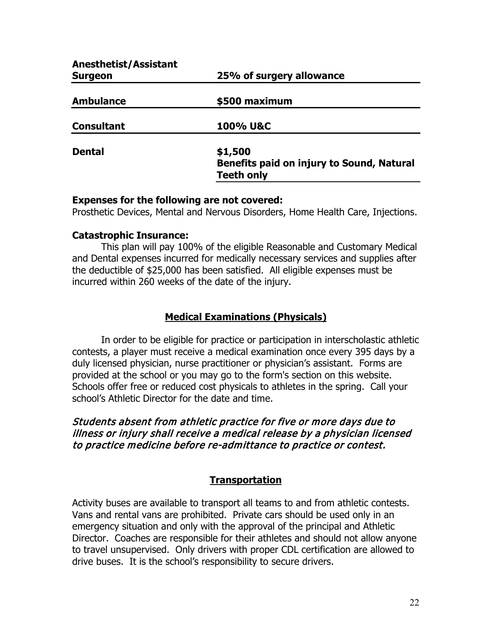| <b>Anesthetist/Assistant</b><br><b>Surgeon</b> | 25% of surgery allowance                                                  |
|------------------------------------------------|---------------------------------------------------------------------------|
| <b>Ambulance</b>                               | \$500 maximum                                                             |
| <b>Consultant</b>                              | 100% U&C                                                                  |
| <b>Dental</b>                                  | \$1,500<br>Benefits paid on injury to Sound, Natural<br><b>Teeth only</b> |

#### **Expenses for the following are not covered:**

Prosthetic Devices, Mental and Nervous Disorders, Home Health Care, Injections.

#### **Catastrophic Insurance:**

This plan will pay 100% of the eligible Reasonable and Customary Medical and Dental expenses incurred for medically necessary services and supplies after the deductible of \$25,000 has been satisfied. All eligible expenses must be incurred within 260 weeks of the date of the injury.

### **Medical Examinations (Physicals)**

In order to be eligible for practice or participation in interscholastic athletic contests, a player must receive a medical examination once every 395 days by a duly licensed physician, nurse practitioner or physician's assistant. Forms are provided at the school or you may go to the form's section on this website. Schools offer free or reduced cost physicals to athletes in the spring. Call your school's Athletic Director for the date and time.

#### Students absent from athletic practice for five or more days due to illness or injury shall receive a medical release by a physician licensed to practice medicine before re-admittance to practice or contest.

### **Transportation**

Activity buses are available to transport all teams to and from athletic contests. Vans and rental vans are prohibited. Private cars should be used only in an emergency situation and only with the approval of the principal and Athletic Director. Coaches are responsible for their athletes and should not allow anyone to travel unsupervised. Only drivers with proper CDL certification are allowed to drive buses. It is the school's responsibility to secure drivers.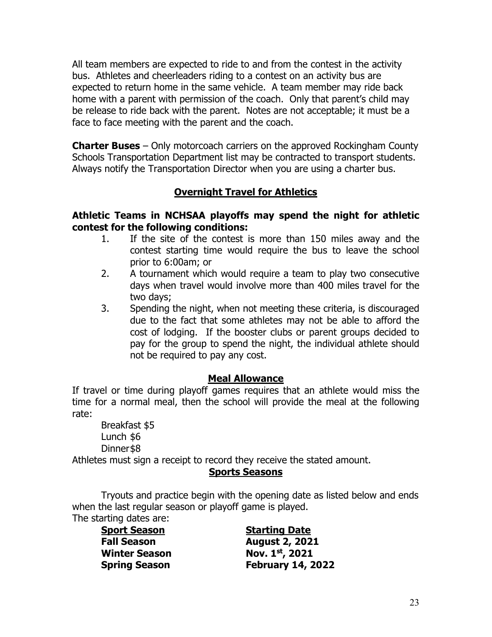All team members are expected to ride to and from the contest in the activity bus. Athletes and cheerleaders riding to a contest on an activity bus are expected to return home in the same vehicle. A team member may ride back home with a parent with permission of the coach. Only that parent's child may be release to ride back with the parent. Notes are not acceptable; it must be a face to face meeting with the parent and the coach.

**Charter Buses** – Only motorcoach carriers on the approved Rockingham County Schools Transportation Department list may be contracted to transport students. Always notify the Transportation Director when you are using a charter bus.

### **Overnight Travel for Athletics**

#### **Athletic Teams in NCHSAA playoffs may spend the night for athletic contest for the following conditions:**

- 1. If the site of the contest is more than 150 miles away and the contest starting time would require the bus to leave the school prior to 6:00am; or
- 2. A tournament which would require a team to play two consecutive days when travel would involve more than 400 miles travel for the two days;
- 3. Spending the night, when not meeting these criteria, is discouraged due to the fact that some athletes may not be able to afford the cost of lodging. If the booster clubs or parent groups decided to pay for the group to spend the night, the individual athlete should not be required to pay any cost.

#### **Meal Allowance**

If travel or time during playoff games requires that an athlete would miss the time for a normal meal, then the school will provide the meal at the following rate:

Breakfast \$5 Lunch \$6 Dinner\$8

Athletes must sign a receipt to record they receive the stated amount.

### **Sports Seasons**

Tryouts and practice begin with the opening date as listed below and ends when the last regular season or playoff game is played. The starting dates are:

**Winter Season** 

**Sport Season Starting Date Fall Season August 2, 2021 Spring Season February 14, 2022**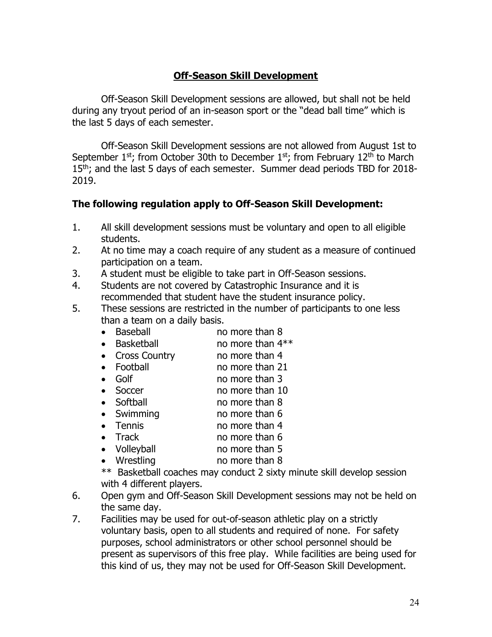## **Off-Season Skill Development**

Off-Season Skill Development sessions are allowed, but shall not be held during any tryout period of an in-season sport or the "dead ball time" which is the last 5 days of each semester.

Off-Season Skill Development sessions are not allowed from August 1st to September 1st; from October 30th to December 1st; from February 12<sup>th</sup> to March 15<sup>th</sup>; and the last 5 days of each semester. Summer dead periods TBD for 2018-2019.

#### **The following regulation apply to Off-Season Skill Development:**

- 1. All skill development sessions must be voluntary and open to all eligible students.
- 2. At no time may a coach require of any student as a measure of continued participation on a team.
- 3. A student must be eligible to take part in Off-Season sessions.
- 4. Students are not covered by Catastrophic Insurance and it is recommended that student have the student insurance policy.
- 5. These sessions are restricted in the number of participants to one less than a team on a daily basis.<br>• Baseball no
	- Baseball no more than 8
	- Basketball no more than  $4**$
	- Cross Country no more than 4
	- Football no more than 21
	- Golf no more than 3
	- Soccer no more than 10
	- Softball no more than 8
	- Swimming no more than 6
	- Tennis no more than 4
	- Track no more than 6
	-
	- Volleyball no more than 5<br>• Wrestling no more than 8 no more than 8

\*\* Basketball coaches may conduct 2 sixty minute skill develop session with 4 different players.

- 6. Open gym and Off-Season Skill Development sessions may not be held on the same day.
- 7. Facilities may be used for out-of-season athletic play on a strictly voluntary basis, open to all students and required of none. For safety purposes, school administrators or other school personnel should be present as supervisors of this free play. While facilities are being used for this kind of us, they may not be used for Off-Season Skill Development.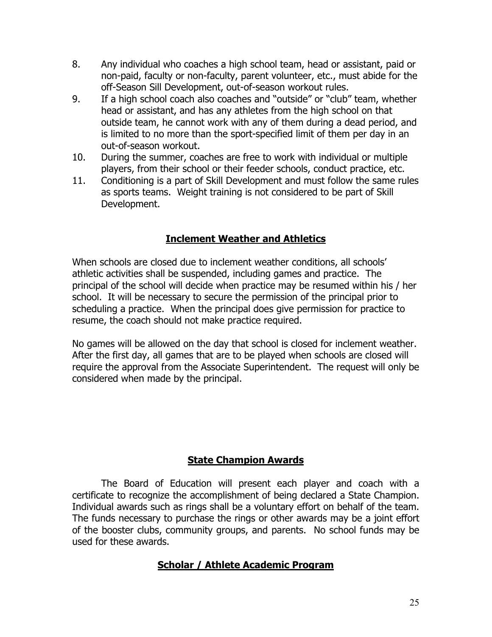- 8. Any individual who coaches a high school team, head or assistant, paid or non-paid, faculty or non-faculty, parent volunteer, etc., must abide for the off-Season Sill Development, out-of-season workout rules.
- 9. If a high school coach also coaches and "outside" or "club" team, whether head or assistant, and has any athletes from the high school on that outside team, he cannot work with any of them during a dead period, and is limited to no more than the sport-specified limit of them per day in an out-of-season workout.
- 10. During the summer, coaches are free to work with individual or multiple players, from their school or their feeder schools, conduct practice, etc.
- 11. Conditioning is a part of Skill Development and must follow the same rules as sports teams. Weight training is not considered to be part of Skill Development.

## **Inclement Weather and Athletics**

When schools are closed due to inclement weather conditions, all schools' athletic activities shall be suspended, including games and practice. The principal of the school will decide when practice may be resumed within his / her school. It will be necessary to secure the permission of the principal prior to scheduling a practice. When the principal does give permission for practice to resume, the coach should not make practice required.

No games will be allowed on the day that school is closed for inclement weather. After the first day, all games that are to be played when schools are closed will require the approval from the Associate Superintendent. The request will only be considered when made by the principal.

### **State Champion Awards**

The Board of Education will present each player and coach with a certificate to recognize the accomplishment of being declared a State Champion. Individual awards such as rings shall be a voluntary effort on behalf of the team. The funds necessary to purchase the rings or other awards may be a joint effort of the booster clubs, community groups, and parents. No school funds may be used for these awards.

### **Scholar / Athlete Academic Program**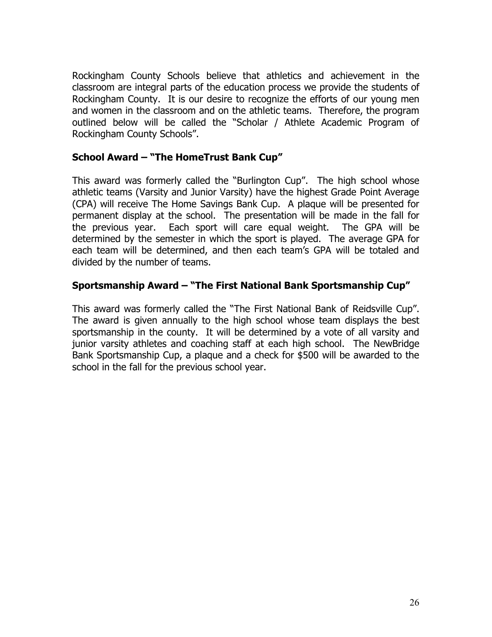Rockingham County Schools believe that athletics and achievement in the classroom are integral parts of the education process we provide the students of Rockingham County. It is our desire to recognize the efforts of our young men and women in the classroom and on the athletic teams. Therefore, the program outlined below will be called the "Scholar / Athlete Academic Program of Rockingham County Schools".

#### **School Award – "The HomeTrust Bank Cup"**

This award was formerly called the "Burlington Cup". The high school whose athletic teams (Varsity and Junior Varsity) have the highest Grade Point Average (CPA) will receive The Home Savings Bank Cup. A plaque will be presented for permanent display at the school. The presentation will be made in the fall for the previous year. Each sport will care equal weight. The GPA will be determined by the semester in which the sport is played. The average GPA for each team will be determined, and then each team's GPA will be totaled and divided by the number of teams.

#### **Sportsmanship Award – "The First National Bank Sportsmanship Cup"**

This award was formerly called the "The First National Bank of Reidsville Cup". The award is given annually to the high school whose team displays the best sportsmanship in the county. It will be determined by a vote of all varsity and junior varsity athletes and coaching staff at each high school. The NewBridge Bank Sportsmanship Cup, a plaque and a check for \$500 will be awarded to the school in the fall for the previous school year.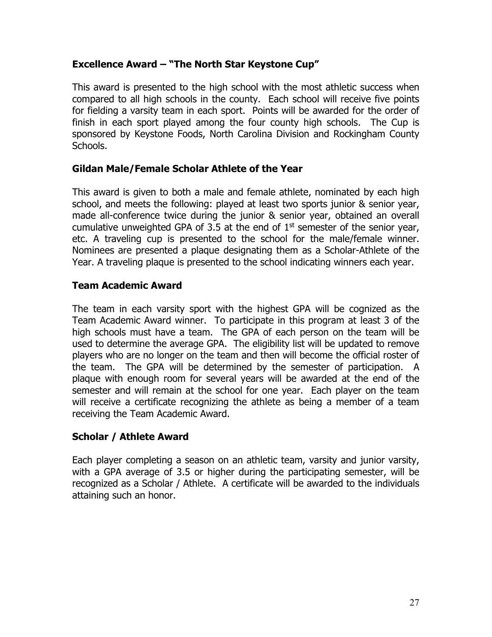### **Excellence Award – "The North Star Keystone Cup"**

This award is presented to the high school with the most athletic success when compared to all high schools in the county. Each school will receive five points for fielding a varsity team in each sport. Points will be awarded for the order of finish in each sport played among the four county high schools. The Cup is sponsored by Keystone Foods, North Carolina Division and Rockingham County Schools.

#### **Gildan Male/Female Scholar Athlete of the Year**

This award is given to both a male and female athlete, nominated by each high school, and meets the following: played at least two sports junior & senior year, made all-conference twice during the junior & senior year, obtained an overall cumulative unweighted GPA of 3.5 at the end of  $1<sup>st</sup>$  semester of the senior year, etc. A traveling cup is presented to the school for the male/female winner. Nominees are presented a plaque designating them as a Scholar-Athlete of the Year. A traveling plaque is presented to the school indicating winners each year.

#### **Team Academic Award**

The team in each varsity sport with the highest GPA will be cognized as the Team Academic Award winner. To participate in this program at least 3 of the high schools must have a team. The GPA of each person on the team will be used to determine the average GPA. The eligibility list will be updated to remove players who are no longer on the team and then will become the official roster of the team. The GPA will be determined by the semester of participation. A plaque with enough room for several years will be awarded at the end of the semester and will remain at the school for one year. Each player on the team will receive a certificate recognizing the athlete as being a member of a team receiving the Team Academic Award.

### **Scholar / Athlete Award**

Each player completing a season on an athletic team, varsity and junior varsity, with a GPA average of 3.5 or higher during the participating semester, will be recognized as a Scholar / Athlete. A certificate will be awarded to the individuals attaining such an honor.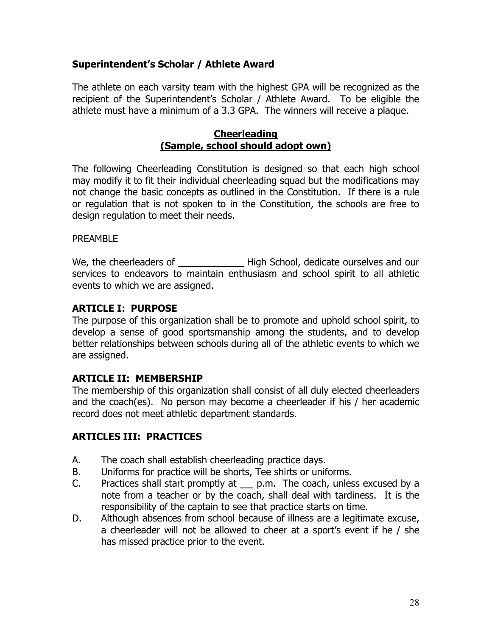### **Superintendent's Scholar / Athlete Award**

The athlete on each varsity team with the highest GPA will be recognized as the recipient of the Superintendent's Scholar / Athlete Award. To be eligible the athlete must have a minimum of a 3.3 GPA. The winners will receive a plaque.

#### **Cheerleading (Sample, school should adopt own)**

The following Cheerleading Constitution is designed so that each high school may modify it to fit their individual cheerleading squad but the modifications may not change the basic concepts as outlined in the Constitution. If there is a rule or regulation that is not spoken to in the Constitution, the schools are free to design regulation to meet their needs.

#### PREAMBLE

We, the cheerleaders of High School, dedicate ourselves and our services to endeavors to maintain enthusiasm and school spirit to all athletic events to which we are assigned.

#### **ARTICLE I: PURPOSE**

The purpose of this organization shall be to promote and uphold school spirit, to develop a sense of good sportsmanship among the students, and to develop better relationships between schools during all of the athletic events to which we are assigned.

### **ARTICLE II: MEMBERSHIP**

The membership of this organization shall consist of all duly elected cheerleaders and the coach(es). No person may become a cheerleader if his / her academic record does not meet athletic department standards.

### **ARTICLES III: PRACTICES**

- A. The coach shall establish cheerleading practice days.
- B. Uniforms for practice will be shorts, Tee shirts or uniforms.
- C. Practices shall start promptly at  $p.m.$  The coach, unless excused by a note from a teacher or by the coach, shall deal with tardiness. It is the responsibility of the captain to see that practice starts on time.
- D. Although absences from school because of illness are a legitimate excuse, a cheerleader will not be allowed to cheer at a sport's event if he / she has missed practice prior to the event.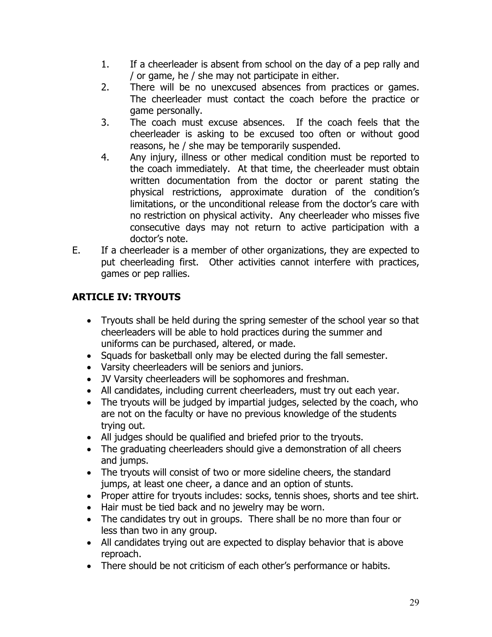- 1. If a cheerleader is absent from school on the day of a pep rally and / or game, he / she may not participate in either.
- 2. There will be no unexcused absences from practices or games. The cheerleader must contact the coach before the practice or game personally.
- 3. The coach must excuse absences. If the coach feels that the cheerleader is asking to be excused too often or without good reasons, he / she may be temporarily suspended.
- 4. Any injury, illness or other medical condition must be reported to the coach immediately. At that time, the cheerleader must obtain written documentation from the doctor or parent stating the physical restrictions, approximate duration of the condition's limitations, or the unconditional release from the doctor's care with no restriction on physical activity. Any cheerleader who misses five consecutive days may not return to active participation with a doctor's note.
- E. If a cheerleader is a member of other organizations, they are expected to put cheerleading first. Other activities cannot interfere with practices, games or pep rallies.

# **ARTICLE IV: TRYOUTS**

- Tryouts shall be held during the spring semester of the school year so that cheerleaders will be able to hold practices during the summer and uniforms can be purchased, altered, or made.
- Squads for basketball only may be elected during the fall semester.
- Varsity cheerleaders will be seniors and juniors.
- JV Varsity cheerleaders will be sophomores and freshman.
- All candidates, including current cheerleaders, must try out each year.
- The tryouts will be judged by impartial judges, selected by the coach, who are not on the faculty or have no previous knowledge of the students trying out.
- All judges should be qualified and briefed prior to the tryouts.
- The graduating cheerleaders should give a demonstration of all cheers and jumps.
- The tryouts will consist of two or more sideline cheers, the standard jumps, at least one cheer, a dance and an option of stunts.
- Proper attire for tryouts includes: socks, tennis shoes, shorts and tee shirt.
- Hair must be tied back and no jewelry may be worn.
- The candidates try out in groups. There shall be no more than four or less than two in any group.
- All candidates trying out are expected to display behavior that is above reproach.
- There should be not criticism of each other's performance or habits.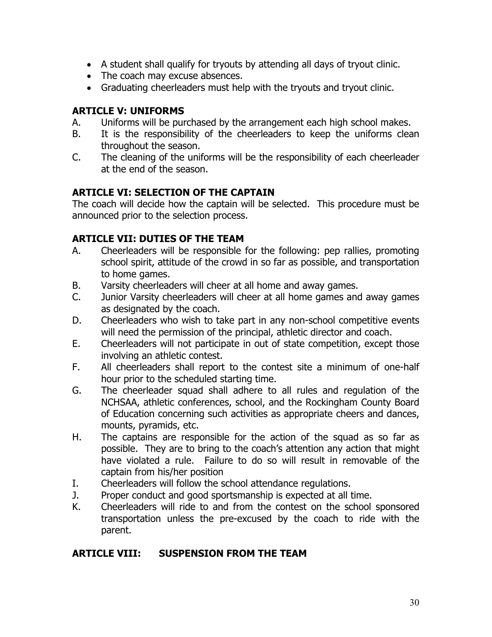- A student shall qualify for tryouts by attending all days of tryout clinic.
- The coach may excuse absences.
- Graduating cheerleaders must help with the tryouts and tryout clinic.

### **ARTICLE V: UNIFORMS**

- A. Uniforms will be purchased by the arrangement each high school makes.
- B. It is the responsibility of the cheerleaders to keep the uniforms clean throughout the season.
- C. The cleaning of the uniforms will be the responsibility of each cheerleader at the end of the season.

## **ARTICLE VI: SELECTION OF THE CAPTAIN**

The coach will decide how the captain will be selected. This procedure must be announced prior to the selection process.

### **ARTICLE VII: DUTIES OF THE TEAM**

- A. Cheerleaders will be responsible for the following: pep rallies, promoting school spirit, attitude of the crowd in so far as possible, and transportation to home games.
- B. Varsity cheerleaders will cheer at all home and away games.<br>C. Junior Varsity cheerleaders will cheer at all home games and
- Junior Varsity cheerleaders will cheer at all home games and away games as designated by the coach.
- D. Cheerleaders who wish to take part in any non-school competitive events will need the permission of the principal, athletic director and coach.
- E. Cheerleaders will not participate in out of state competition, except those involving an athletic contest.
- F. All cheerleaders shall report to the contest site a minimum of one-half hour prior to the scheduled starting time.
- G. The cheerleader squad shall adhere to all rules and regulation of the NCHSAA, athletic conferences, school, and the Rockingham County Board of Education concerning such activities as appropriate cheers and dances, mounts, pyramids, etc.
- H. The captains are responsible for the action of the squad as so far as possible. They are to bring to the coach's attention any action that might have violated a rule. Failure to do so will result in removable of the captain from his/her position
- I. Cheerleaders will follow the school attendance regulations.
- J. Proper conduct and good sportsmanship is expected at all time.
- K. Cheerleaders will ride to and from the contest on the school sponsored transportation unless the pre-excused by the coach to ride with the parent.

### **ARTICLE VIII: SUSPENSION FROM THE TEAM**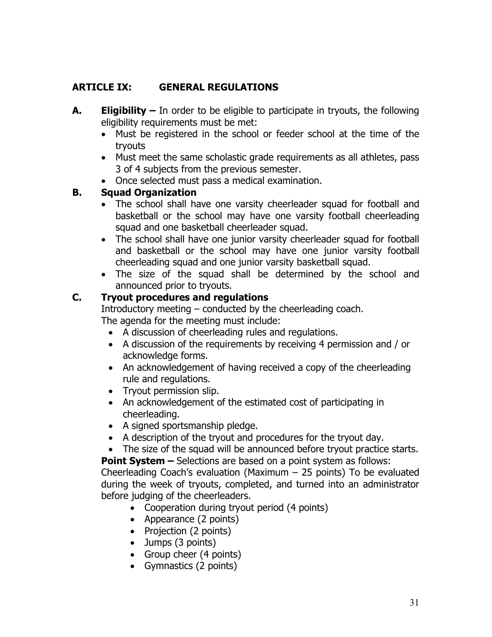## **ARTICLE IX: GENERAL REGULATIONS**

- **A. Eligibility –** In order to be eligible to participate in tryouts, the following eligibility requirements must be met:
	- Must be registered in the school or feeder school at the time of the tryouts
	- Must meet the same scholastic grade requirements as all athletes, pass 3 of 4 subjects from the previous semester.
	- Once selected must pass a medical examination.

#### **B. Squad Organization**

- The school shall have one varsity cheerleader squad for football and basketball or the school may have one varsity football cheerleading squad and one basketball cheerleader squad.
- The school shall have one junior varsity cheerleader squad for football and basketball or the school may have one junior varsity football cheerleading squad and one junior varsity basketball squad.
- The size of the squad shall be determined by the school and announced prior to tryouts.

### **C. Tryout procedures and regulations**

Introductory meeting – conducted by the cheerleading coach. The agenda for the meeting must include:

- A discussion of cheerleading rules and regulations.
- A discussion of the requirements by receiving 4 permission and / or acknowledge forms.
- An acknowledgement of having received a copy of the cheerleading rule and regulations.
- Tryout permission slip.
- An acknowledgement of the estimated cost of participating in cheerleading.
- A signed sportsmanship pledge.
- A description of the tryout and procedures for the tryout day.
- The size of the squad will be announced before tryout practice starts.

**Point System –** Selections are based on a point system as follows:

Cheerleading Coach's evaluation (Maximum  $-$  25 points) To be evaluated during the week of tryouts, completed, and turned into an administrator before judging of the cheerleaders.

- Cooperation during tryout period (4 points)
- Appearance (2 points)
- Projection (2 points)
- Jumps (3 points)
- Group cheer (4 points)
- Gymnastics (2 points)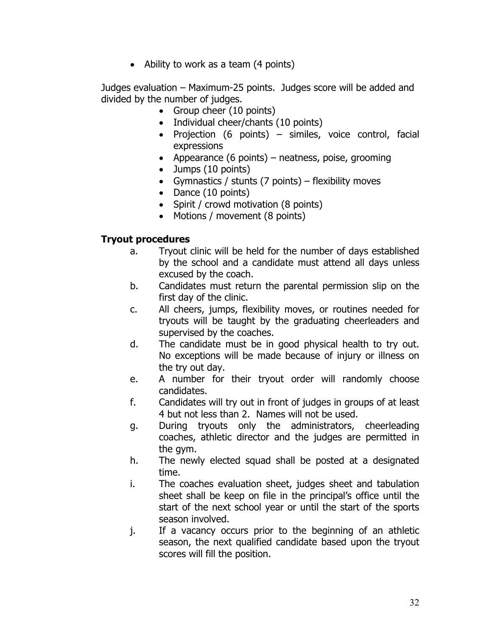• Ability to work as a team (4 points)

Judges evaluation – Maximum-25 points. Judges score will be added and divided by the number of judges.

- Group cheer (10 points)
- Individual cheer/chants (10 points)
- Projection (6 points) similes, voice control, facial expressions
- Appearance (6 points) neatness, poise, grooming
- Jumps (10 points)
- Gymnastics / stunts (7 points) flexibility moves
- Dance (10 points)
- Spirit / crowd motivation (8 points)
- Motions / movement (8 points)

#### **Tryout procedures**

- a. Tryout clinic will be held for the number of days established by the school and a candidate must attend all days unless excused by the coach.
- b. Candidates must return the parental permission slip on the first day of the clinic.
- c. All cheers, jumps, flexibility moves, or routines needed for tryouts will be taught by the graduating cheerleaders and supervised by the coaches.
- d. The candidate must be in good physical health to try out. No exceptions will be made because of injury or illness on the try out day.
- e. A number for their tryout order will randomly choose candidates.
- f. Candidates will try out in front of judges in groups of at least 4 but not less than 2. Names will not be used.
- g. During tryouts only the administrators, cheerleading coaches, athletic director and the judges are permitted in the gym.
- h. The newly elected squad shall be posted at a designated time.
- i. The coaches evaluation sheet, judges sheet and tabulation sheet shall be keep on file in the principal's office until the start of the next school year or until the start of the sports season involved.
- j. If a vacancy occurs prior to the beginning of an athletic season, the next qualified candidate based upon the tryout scores will fill the position.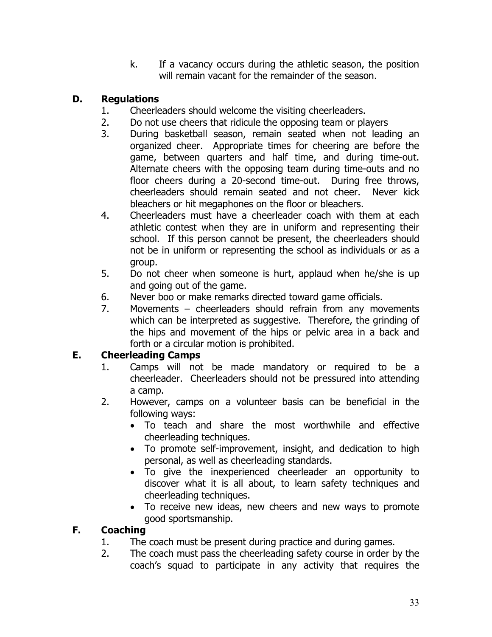k. If a vacancy occurs during the athletic season, the position will remain vacant for the remainder of the season.

# **D. Regulations**

- 1. Cheerleaders should welcome the visiting cheerleaders.
- 2. Do not use cheers that ridicule the opposing team or players<br>3. During basketball season, remain seated when not lead
- During basketball season, remain seated when not leading an organized cheer. Appropriate times for cheering are before the game, between quarters and half time, and during time-out. Alternate cheers with the opposing team during time-outs and no floor cheers during a 20-second time-out. During free throws, cheerleaders should remain seated and not cheer. Never kick bleachers or hit megaphones on the floor or bleachers.
- 4. Cheerleaders must have a cheerleader coach with them at each athletic contest when they are in uniform and representing their school. If this person cannot be present, the cheerleaders should not be in uniform or representing the school as individuals or as a group.
- 5. Do not cheer when someone is hurt, applaud when he/she is up and going out of the game.
- 6. Never boo or make remarks directed toward game officials.
- 7. Movements cheerleaders should refrain from any movements which can be interpreted as suggestive. Therefore, the grinding of the hips and movement of the hips or pelvic area in a back and forth or a circular motion is prohibited.

## **E. Cheerleading Camps**

- 1. Camps will not be made mandatory or required to be a cheerleader. Cheerleaders should not be pressured into attending a camp.
- 2. However, camps on a volunteer basis can be beneficial in the following ways:
	- To teach and share the most worthwhile and effective cheerleading techniques.
	- To promote self-improvement, insight, and dedication to high personal, as well as cheerleading standards.
	- To give the inexperienced cheerleader an opportunity to discover what it is all about, to learn safety techniques and cheerleading techniques.
	- To receive new ideas, new cheers and new ways to promote good sportsmanship.

## **F. Coaching**

- 1. The coach must be present during practice and during games.
- 2. The coach must pass the cheerleading safety course in order by the coach's squad to participate in any activity that requires the